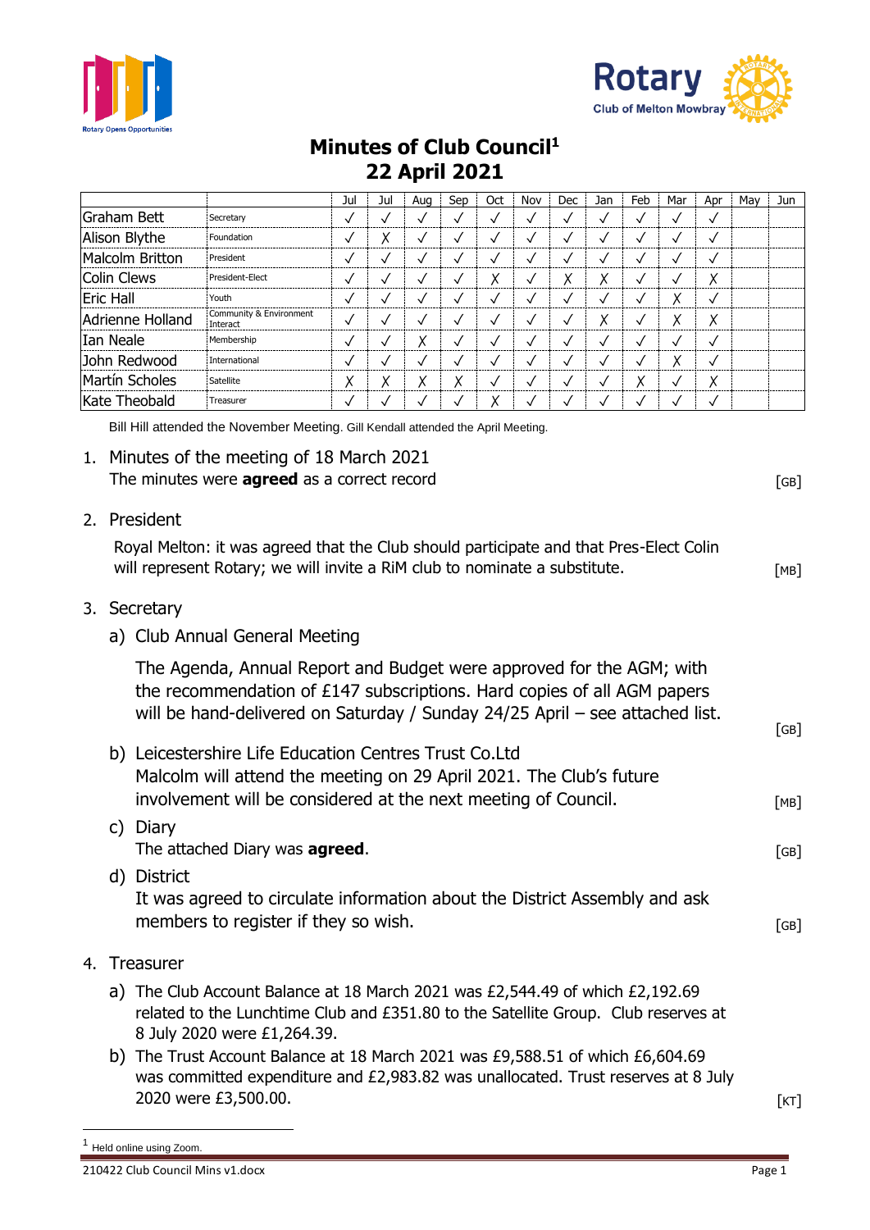



## **Minutes of Club Council<sup>1</sup> 22 April 2021**

|                  |                                     | Jul          | Jul | Aug | Sep    | Oct          | Nov          | Dec          | Jan    | Feb          | Mar          | Apr          | Mav | Jun |
|------------------|-------------------------------------|--------------|-----|-----|--------|--------------|--------------|--------------|--------|--------------|--------------|--------------|-----|-----|
| Graham Bett      | Secretary                           | √            |     |     |        | V            | $\checkmark$ | ✓            |        |              | $\checkmark$ | ✓            |     |     |
| Alison Blythe    | Foundation                          | √            | Χ   |     |        | $\checkmark$ | $\checkmark$ | √            |        |              |              | ✓            |     |     |
| Malcolm Britton  | President                           | √            |     |     |        | √            | √            | √            |        | $\checkmark$ | N            | ✓            |     |     |
| Colin Clews      | President-Elect                     | √            |     | ✓   |        | Χ            | √            | Χ            | v<br>∧ | √            | V            | Χ            |     |     |
| <b>Eric Hall</b> | Youth                               | √            |     |     |        | $\checkmark$ | $\checkmark$ | √            |        | V            | Χ            | √            |     |     |
| Adrienne Holland | Community & Environment<br>Interact | √            | √   | ν   |        | √            | $\checkmark$ | $\checkmark$ | v<br>∧ | √            | Χ            | Χ            |     |     |
| Ian Neale        | Membership                          | $\checkmark$ |     | Χ   |        | √            | $\checkmark$ | ✓            |        | V            |              | ✓            |     |     |
| John Redwood     | International                       | $\checkmark$ |     |     |        | $\checkmark$ | $\checkmark$ | √            |        | $\checkmark$ | Χ            | $\checkmark$ |     |     |
| Martín Scholes   | Satellite                           | Χ            | Χ   | Χ   | v<br>∧ | √            | $\checkmark$ | $\checkmark$ | √      | Χ            | $\checkmark$ | Χ            |     |     |
| Kate Theobald    | Treasurer                           |              |     |     |        |              |              |              |        |              |              |              |     |     |

Bill Hill attended the November Meeting. Gill Kendall attended the April Meeting.

## 1. Minutes of the meeting of 18 March 2021 The minutes were **agreed** as a correct record **EXACTE 10** and  $[GB]$

2. President

Royal Melton: it was agreed that the Club should participate and that Pres-Elect Colin will represent Rotary; we will invite a RiM club to nominate a substitute.

- 3. Secretary
	- a) Club Annual General Meeting

The Agenda, Annual Report and Budget were approved for the AGM; with the recommendation of £147 subscriptions. Hard copies of all AGM papers will be hand-delivered on Saturday / Sunday 24/25 April – see attached list.

|    | b) | Leicestershire Life Education Centres Trust Co.Ltd<br>Malcolm will attend the meeting on 29 April 2021. The Club's future<br>involvement will be considered at the next meeting of Council. | [MB] |
|----|----|---------------------------------------------------------------------------------------------------------------------------------------------------------------------------------------------|------|
|    |    | Diary<br>The attached Diary was <b>agreed</b> .                                                                                                                                             | [GB] |
|    |    | <b>District</b><br>It was agreed to circulate information about the District Assembly and ask<br>members to register if they so wish.                                                       | [GB] |
| 4. |    | <b>Treasurer</b>                                                                                                                                                                            |      |

- a) The Club Account Balance at 18 March 2021 was £2,544.49 of which £2,192.69 related to the Lunchtime Club and £351.80 to the Satellite Group. Club reserves at 8 July 2020 were £1,264.39.
- b) The Trust Account Balance at 18 March 2021 was £9,588.51 of which £6,604.69 was committed expenditure and £2,983.82 was unallocated. Trust reserves at 8 July 2020 were £3,500.00. [KT]

[GB]

<sup>1</sup> Held online using Zoom.